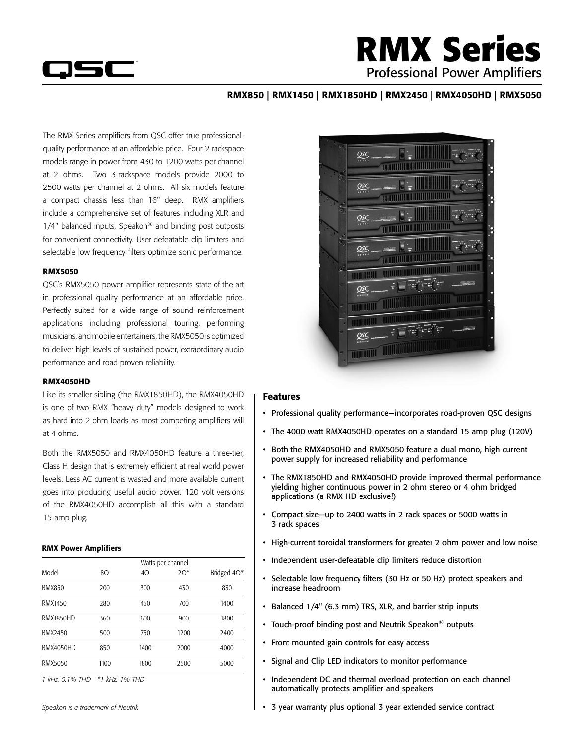

## **RMX Series** Professional Power Amplifiers

### RMX850 | RMX1450 | RMX1850HD | RMX2450 | RMX4050HD | RMX5050

The RMX Series amplifiers from QSC offer true professionalquality performance at an affordable price. Four 2-rackspace models range in power from 430 to 1200 watts per channel at 2 ohms. Two 3-rackspace models provide 2000 to 2500 watts per channel at 2 ohms. All six models feature a compact chassis less than 16" deep. RMX amplifiers include a comprehensive set of features including XLR and 1/4" balanced inputs, Speakon® and binding post outposts for convenient connectivity. User-defeatable clip limiters and selectable low frequency filters optimize sonic performance.

#### RMX5050

QSC's RMX5050 power amplifier represents state-of-the-art in professional quality performance at an affordable price. Perfectly suited for a wide range of sound reinforcement applications including professional touring, performing musicians, and mobile entertainers, the RMX5050 is optimized to deliver high levels of sustained power, extraordinary audio performance and road-proven reliability.

#### RMX4050HD

Like its smaller sibling (the RMX1850HD), the RMX4050HD is one of two RMX "heavy duty" models designed to work as hard into 2 ohm loads as most competing amplifiers will at 4 ohms.

Both the RMX5050 and RMX4050HD feature a three-tier, Class H design that is extremely efficient at real world power levels. Less AC current is wasted and more available current goes into producing useful audio power. 120 volt versions of the RMX4050HD accomplish all this with a standard 15 amp plug.

#### RMX Power Amplifiers

| Model            | Watts per channel |           |             |                     |  |  |  |
|------------------|-------------------|-----------|-------------|---------------------|--|--|--|
|                  | 8Ω                | $4\Omega$ | $2\Omega^*$ | Bridged $4\Omega^*$ |  |  |  |
| <b>RMX850</b>    | 200               | 300       | 430         | 830                 |  |  |  |
| RMX1450          | 280               | 450       | 700         | 1400                |  |  |  |
| <b>RMX1850HD</b> | 360               | 600       | 900         | 1800                |  |  |  |
| RMX2450          | 500               | 750       | 1200        | 2400                |  |  |  |
| <b>RMX4050HD</b> | 850               | 1400      | 2000        | 4000                |  |  |  |
| RMX5050          | 1100              | 1800      | 2500        | 5000                |  |  |  |

*1 kHz, 0.1% THD \*1 kHz, 1% THD*



#### Features

- Professional quality performance-incorporates road-proven QSC designs
- The 4000 watt RMX4050HD operates on a standard 15 amp plug (120V)
- Both the RMX4050HD and RMX5050 feature a dual mono, high current power supply for increased reliability and performance
- The RMX1850HD and RMX4050HD provide improved thermal performance yielding higher continuous power in 2 ohm stereo or 4 ohm bridged applications (a RMX HD exclusive!)
- Compact size-up to 2400 watts in 2 rack spaces or 5000 watts in 3 rack spaces
- High-current toroidal transformers for greater 2 ohm power and low noise
- Independent user-defeatable clip limiters reduce distortion
- Selectable low frequency filters (30 Hz or 50 Hz) protect speakers and increase headroom
- • Balanced 1/4" (6.3 mm) TRS, XLR, and barrier strip inputs
- Touch-proof binding post and Neutrik Speakon<sup>®</sup> outputs
- • Front mounted gain controls for easy access
- • Signal and Clip LED indicators to monitor performance
- Independent DC and thermal overload protection on each channel automatically protects amplifier and speakers
- • 3 year warranty plus optional 3 year extended service contract